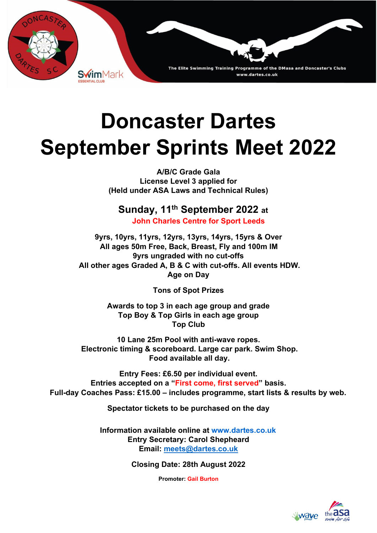

# **Doncaster Dartes September Sprints Meet 2022**

**A/B/C Grade Gala License Level 3 applied for (Held under ASA Laws and Technical Rules)** 

### **Sunday, 11th September 2022 at**

**John Charles Centre for Sport Leeds**

**9yrs, 10yrs, 11yrs, 12yrs, 13yrs, 14yrs, 15yrs & Over All ages 50m Free, Back, Breast, Fly and 100m IM 9yrs ungraded with no cut-offs All other ages Graded A, B & C with cut-offs. All events HDW. Age on Day** 

**Tons of Spot Prizes** 

**Awards to top 3 in each age group and grade Top Boy & Top Girls in each age group Top Club** 

**10 Lane 25m Pool with anti-wave ropes. Electronic timing & scoreboard. Large car park. Swim Shop. Food available all day.** 

**Entry Fees: £6.50 per individual event. Entries accepted on a "First come, first served" basis. Full-day Coaches Pass: £15.00 – includes programme, start lists & results by web.** 

**Spectator tickets to be purchased on the day**

**Information available online at www.dartes.co.uk Entry Secretary: Carol Shepheard Email: meets@dartes.co.uk**

**Closing Date: 28th August 2022** 

**Promoter: Gail Burton**

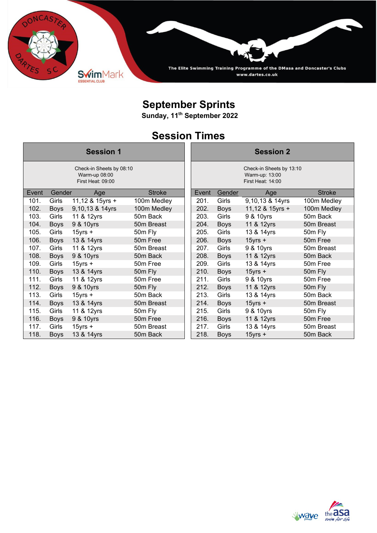

## **September Sprints**

**Sunday, 11th September 2022**

## **Session Times**

| <b>Session 1</b>                                               |             |                 |               |       | <b>Session 2</b>                                                |                 |               |  |  |
|----------------------------------------------------------------|-------------|-----------------|---------------|-------|-----------------------------------------------------------------|-----------------|---------------|--|--|
| Check-in Sheets by 08:10<br>Warm-up 08:00<br>First Heat: 09:00 |             |                 |               |       | Check-in Sheets by 13:10<br>Warm-up: 13:00<br>First Heat: 14:00 |                 |               |  |  |
| Event                                                          | Gender      | Age             | <b>Stroke</b> | Event | Gender                                                          | Age             | <b>Stroke</b> |  |  |
| 101.                                                           | Girls       | 11,12 & 15yrs + | 100m Medley   | 201.  | Girls                                                           | 9,10,13 & 14yrs | 100m Medley   |  |  |
| 102.                                                           | <b>Boys</b> | 9,10,13 & 14yrs | 100m Medley   | 202.  | <b>Boys</b>                                                     | 11,12 & 15yrs + | 100m Medley   |  |  |
| 103.                                                           | Girls       | 11 & 12yrs      | 50m Back      | 203.  | Girls                                                           | 9 & 10yrs       | 50m Back      |  |  |
| 104.                                                           | <b>Boys</b> | 9 & 10yrs       | 50m Breast    | 204.  | <b>Boys</b>                                                     | 11 & 12yrs      | 50m Breast    |  |  |
| 105.                                                           | Girls       | $15$ yrs +      | 50m Fly       | 205.  | Girls                                                           | 13 & 14yrs      | 50m Fly       |  |  |
| 106.                                                           | <b>Boys</b> | 13 & 14yrs      | 50m Free      | 206.  | <b>Boys</b>                                                     | $15$ yrs +      | 50m Free      |  |  |
| 107.                                                           | Girls       | 11 & 12yrs      | 50m Breast    | 207.  | Girls                                                           | 9 & 10yrs       | 50m Breast    |  |  |
| 108.                                                           | <b>Boys</b> | 9 & 10yrs       | 50m Back      | 208.  | <b>Boys</b>                                                     | 11 & 12yrs      | 50m Back      |  |  |
| 109.                                                           | Girls       | $15$ yrs +      | 50m Free      | 209.  | Girls                                                           | 13 & 14yrs      | 50m Free      |  |  |
| 110.                                                           | <b>Boys</b> | 13 & 14yrs      | 50m Fly       | 210.  | <b>Boys</b>                                                     | $15$ yrs +      | 50m Fly       |  |  |
| 111.                                                           | Girls       | 11 & 12yrs      | 50m Free      | 211.  | Girls                                                           | 9 & 10yrs       | 50m Free      |  |  |
| 112.                                                           | <b>Boys</b> | 9 & 10yrs       | 50m Fly       | 212.  | <b>Boys</b>                                                     | 11 & 12yrs      | 50m Fly       |  |  |
| 113.                                                           | Girls       | $15$ yrs +      | 50m Back      | 213.  | Girls                                                           | 13 & 14yrs      | 50m Back      |  |  |
| 114.                                                           | <b>Boys</b> | 13 & 14yrs      | 50m Breast    | 214.  | <b>Boys</b>                                                     | $15$ yrs +      | 50m Breast    |  |  |
| 115.                                                           | Girls       | 11 & 12yrs      | 50m Fly       | 215.  | Girls                                                           | 9 & 10yrs       | 50m Fly       |  |  |
| 116.                                                           | <b>Boys</b> | 9 & 10yrs       | 50m Free      | 216.  | <b>Boys</b>                                                     | 11 & 12yrs      | 50m Free      |  |  |
| 117.                                                           | Girls       | $15$ yrs +      | 50m Breast    | 217.  | Girls                                                           | 13 & 14yrs      | 50m Breast    |  |  |
| 118.                                                           | <b>Boys</b> | 13 & 14yrs      | 50m Back      | 218.  | <b>Boys</b>                                                     | $15$ yrs +      | 50m Back      |  |  |

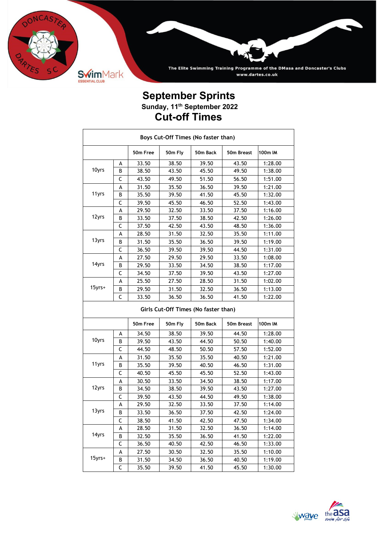

The Elite Swimming Training Programme of the DMasa and Doncaster's Clubs www.dartes.co.uk

#### **September Sprints Sunday, 11th September 2022 Cut-off Times**

| Boys Cut-Off Times (No faster than) |   |          |         |                                      |            |         |  |  |  |  |  |
|-------------------------------------|---|----------|---------|--------------------------------------|------------|---------|--|--|--|--|--|
|                                     |   | 50m Free | 50m Fly | 50m Back                             | 50m Breast | 100m IM |  |  |  |  |  |
|                                     | А | 33.50    | 38.50   | 39.50                                | 43.50      | 1:28.00 |  |  |  |  |  |
| 10yrs                               | В | 38.50    | 43.50   | 45.50                                | 49.50      | 1:38.00 |  |  |  |  |  |
|                                     | С | 43.50    | 49.50   | 51.50                                | 56.50      | 1:51.00 |  |  |  |  |  |
|                                     | А | 31.50    | 35.50   | 36.50                                | 39.50      | 1:21.00 |  |  |  |  |  |
| 11yrs                               | B | 35.50    | 39.50   | 41.50                                | 45.50      | 1:32.00 |  |  |  |  |  |
|                                     | С | 39.50    | 45.50   | 46.50                                | 52.50      | 1:43.00 |  |  |  |  |  |
|                                     | A | 29.50    | 32.50   | 33.50                                | 37.50      | 1:16.00 |  |  |  |  |  |
| 12yrs                               | B | 33.50    | 37.50   | 38.50                                | 42.50      | 1:26.00 |  |  |  |  |  |
|                                     | C | 37.50    | 42.50   | 43.50                                | 48.50      | 1:36.00 |  |  |  |  |  |
|                                     | А | 28.50    | 31.50   | 32.50                                | 35.50      | 1:11.00 |  |  |  |  |  |
| 13yrs                               | B | 31.50    | 35.50   | 36.50                                | 39.50      | 1:19.00 |  |  |  |  |  |
|                                     | C | 36.50    | 39.50   | 39.50                                | 44.50      | 1:31.00 |  |  |  |  |  |
|                                     | А | 27.50    | 29.50   | 29.50                                | 33.50      | 1:08.00 |  |  |  |  |  |
| 14yrs                               | B | 29.50    | 33.50   | 34.50                                | 38.50      | 1:17.00 |  |  |  |  |  |
|                                     | C | 34.50    | 37.50   | 39.50                                | 43.50      | 1:27.00 |  |  |  |  |  |
|                                     | А | 25.50    | 27.50   | 28.50                                | 31.50      | 1:02.00 |  |  |  |  |  |
| 15yrs+                              | В | 29.50    | 31.50   | 32.50                                | 36.50      | 1:13.00 |  |  |  |  |  |
|                                     | С | 33.50    | 36.50   | 36.50                                | 41.50      | 1:22.00 |  |  |  |  |  |
|                                     |   |          |         | Girls Cut-Off Times (No faster than) |            |         |  |  |  |  |  |
|                                     |   | 50m Free | 50m Fly | 50m Back                             | 50m Breast | 100m IM |  |  |  |  |  |
|                                     | A | 34.50    |         |                                      |            |         |  |  |  |  |  |
| 10yrs                               | B |          | 38.50   | 39.50                                | 44.50      | 1:28.00 |  |  |  |  |  |
|                                     |   | 39.50    | 43.50   | 44.50                                | 50.50      | 1:40.00 |  |  |  |  |  |
|                                     | C | 44.50    | 48.50   | 50.50                                | 57.50      | 1:52.00 |  |  |  |  |  |
|                                     | A | 31.50    | 35.50   | 35.50                                | 40.50      | 1:21.00 |  |  |  |  |  |
| 11yrs                               | В | 35.50    | 39.50   | 40.50                                | 46.50      | 1:31.00 |  |  |  |  |  |
|                                     | C | 40.50    | 45.50   | 45.50                                | 52.50      | 1:43.00 |  |  |  |  |  |
|                                     | A | 30.50    | 33.50   | 34.50                                | 38.50      | 1:17.00 |  |  |  |  |  |
| 12yrs                               | В | 34.50    | 38.50   | 39.50                                | 43.50      | 1:27.00 |  |  |  |  |  |
|                                     | C | 39.50    | 43.50   | 44.50                                | 49.50      | 1:38.00 |  |  |  |  |  |
|                                     | A | 29.50    | 32.50   | 33.50                                | 37.50      | 1:14.00 |  |  |  |  |  |
| 13yrs                               | B | 33.50    | 36.50   | 37.50                                | 42.50      | 1:24.00 |  |  |  |  |  |
|                                     | C | 38.50    | 41.50   | 42.50                                | 47.50      | 1:34.00 |  |  |  |  |  |
|                                     | А | 28.50    | 31.50   | 32.50                                | 36.50      | 1:14.00 |  |  |  |  |  |
| 14yrs                               | В | 32.50    | 35.50   | 36.50                                | 41.50      | 1:22.00 |  |  |  |  |  |
|                                     | C | 36.50    | 40.50   | 42.50                                | 46.50      | 1:33.00 |  |  |  |  |  |
|                                     | А | 27.50    | 30.50   | 32.50                                | 35.50      | 1:10.00 |  |  |  |  |  |
| 15yrs+                              | В | 31.50    | 34.50   | 36.50                                | 40.50      | 1:19.00 |  |  |  |  |  |